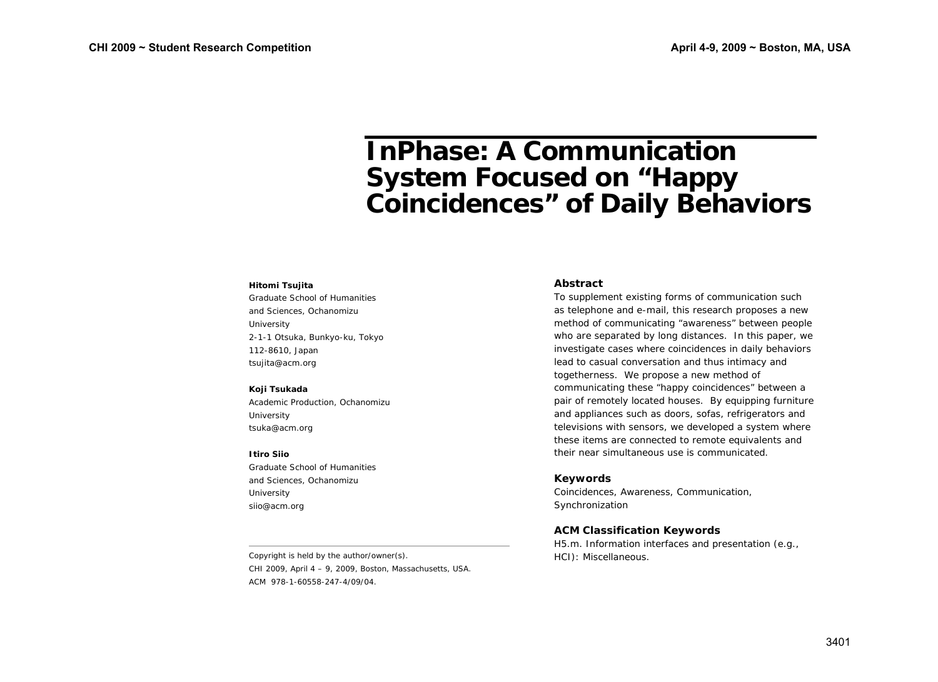# **InPhase: A Communication System Focused on "Happy Coincidences" of Daily Behaviors**

#### **Hitomi Tsujita**

Graduate School of Humanities and Sciences, Ochanomizu University 2-1-1 Otsuka, Bunkyo-ku, Tokyo 112-8610, Japan tsujita@acm.org

#### **Koji Tsukada**

Academic Production, Ochanomizu University tsuka@acm.org

#### **Itiro Siio**

Graduate School of Humanities and Sciences, Ochanomizu University siio@acm.org

**Abstract** 

To supplement existing forms of communication such as telephone and e-mail, this research proposes a new method of communicating "awareness" between people who are separated by long distances. In this paper, we investigate cases where coincidences in daily behaviors lead to casual conversation and thus intimacy and togetherness. We propose a new method of communicating these "happy coincidences" between a pair of remotely located houses. By equipping furniture and appliances such as doors, sofas, refrigerators and televisions with sensors, we developed a system where these items are connected to remote equivalents and their near simultaneous use is communicated.

## **Keywords**

Coincidences, Awareness, Communication, Synchronization

# **ACM Classification Keywords**

H5.m. Information interfaces and presentation (e.g.,

Copyright is held by the author/owner(s). The same state of the HCI): Miscellaneous. *CHI 2009*, April 4 – 9, 2009, Boston, Massachusetts, USA. ACM 978-1-60558-247-4/09/04.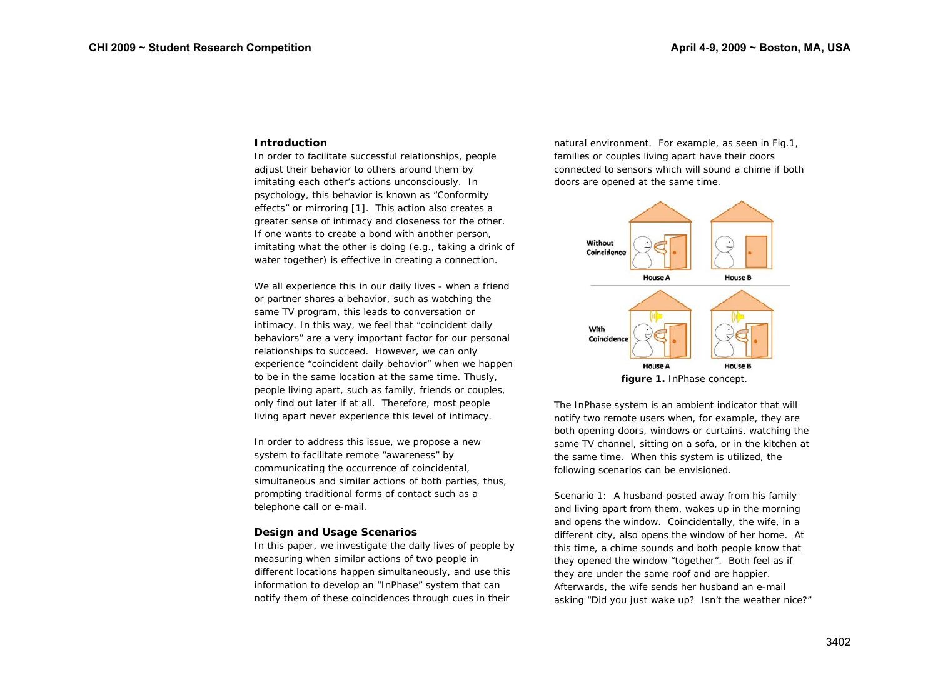# **Introduction**

In order to facilitate successful relationships, people adjust their behavior to others around them by imitating each other's actions unconsciously. In psychology, this behavior is known as "Conformity effects" or mirroring [1]. This action also creates a greater sense of intimacy and closeness for the other. If one wants to create a bond with another person, imitating what the other is doing (e.g., taking a drink of water together) is effective in creating a connection.

We all experience this in our daily lives - when a friend or partner shares a behavior, such as watching the same TV program, this leads to conversation or intimacy. In this way, we feel that "coincident daily behaviors" are a very important factor for our personal relationships to succeed. However, we can only experience "coincident daily behavior" when we happen to be in the same location at the same time. Thusly, people living apart, such as family, friends or couples, only find out later if at all. Therefore, most people living apart never experience this level of intimacy.

In order to address this issue, we propose a new system to facilitate remote "awareness" by communicating the occurrence of coincidental, simultaneous and similar actions of both parties, thus, prompting traditional forms of contact such as a telephone call or e-mail.

## **Design and Usage Scenarios**

In this paper, we investigate the daily lives of people by measuring when similar actions of two people in different locations happen simultaneously, and use this information to develop an "InPhase" system that can notify them of these coincidences through cues in their

natural environment. For example, as seen in Fig.1, families or couples living apart have their doors connected to sensors which will sound a chime if both doors are opened at the same time.



The InPhase system is an ambient indicator that will notify two remote users when, for example, they are both opening doors, windows or curtains, watching the same TV channel, sitting on a sofa, or in the kitchen at the same time. When this system is utilized, the following scenarios can be envisioned.

Scenario 1: A husband posted away from his family and living apart from them, wakes up in the morning and opens the window. Coincidentally, the wife, in a different city, also opens the window of her home. At this time, a chime sounds and both people know that they opened the window "together". Both feel as if they are under the same roof and are happier. Afterwards, the wife sends her husband an e-mail asking "Did you just wake up? Isn't the weather nice?"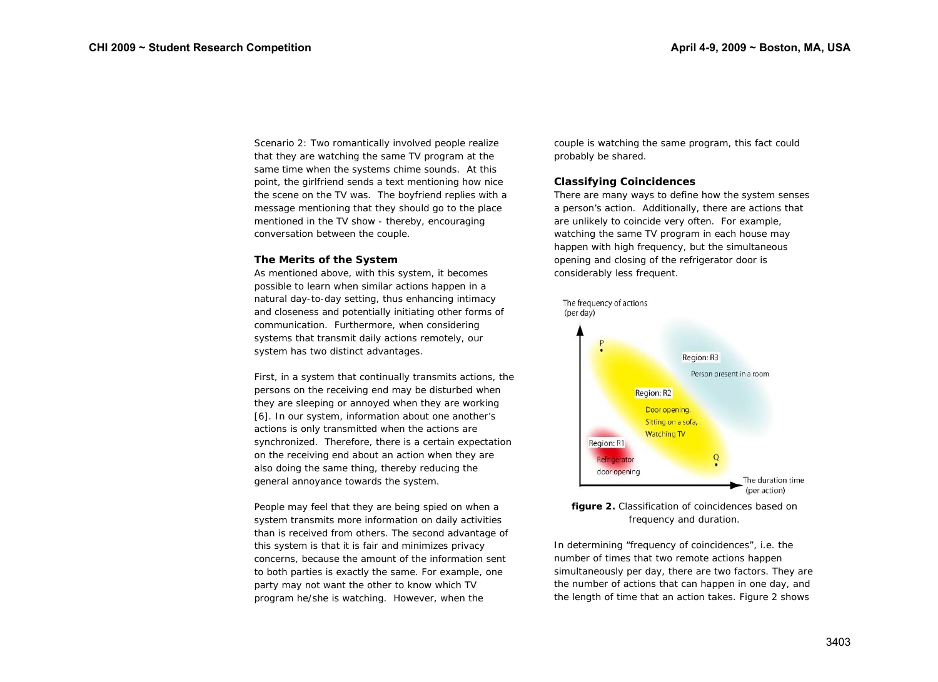Scenario 2: Two romantically involved people realize that they are watching the same TV program at the same time when the systems chime sounds. At this point, the girlfriend sends a text mentioning how nice the scene on the TV was. The boyfriend replies with a message mentioning that they should go to the place mentioned in the TV show - thereby, encouraging conversation between the couple.

# **The Merits of the System**

As mentioned above, with this system, it becomes possible to learn when similar actions happen in a natural day-to-day setting, thus enhancing intimacy and closeness and potentially initiating other forms of communication. Furthermore, when considering systems that transmit daily actions remotely, our system has two distinct advantages.

First, in a system that continually transmits actions, the persons on the receiving end may be disturbed when they are sleeping or annoyed when they are working [6]. In our system, information about one another's actions is only transmitted when the actions are synchronized. Therefore, there is a certain expectation on the receiving end about an action when they are also doing the same thing, thereby reducing the general annoyance towards the system.

People may feel that they are being spied on when a system transmits more information on daily activities than is received from others. The second advantage of this system is that it is fair and minimizes privacy concerns, because the amount of the information sent to both parties is exactly the same. For example, one party may not want the other to know which TV program he/she is watching. However, when the

couple is watching the same program, this fact could probably be shared.

# **Classifying Coincidences**

There are many ways to define how the system senses a person's action. Additionally, there are actions that are unlikely to coincide very often. For example, watching the same TV program in each house may happen with high frequency, but the simultaneous opening and closing of the refrigerator door is considerably less frequent.



**figure 2.** Classification of coincidences based on frequency and duration.

In determining "frequency of coincidences", i.e. the number of times that two remote actions happen simultaneously per day, there are two factors. They are the number of actions that can happen in one day, and the length of time that an action takes. Figure 2 shows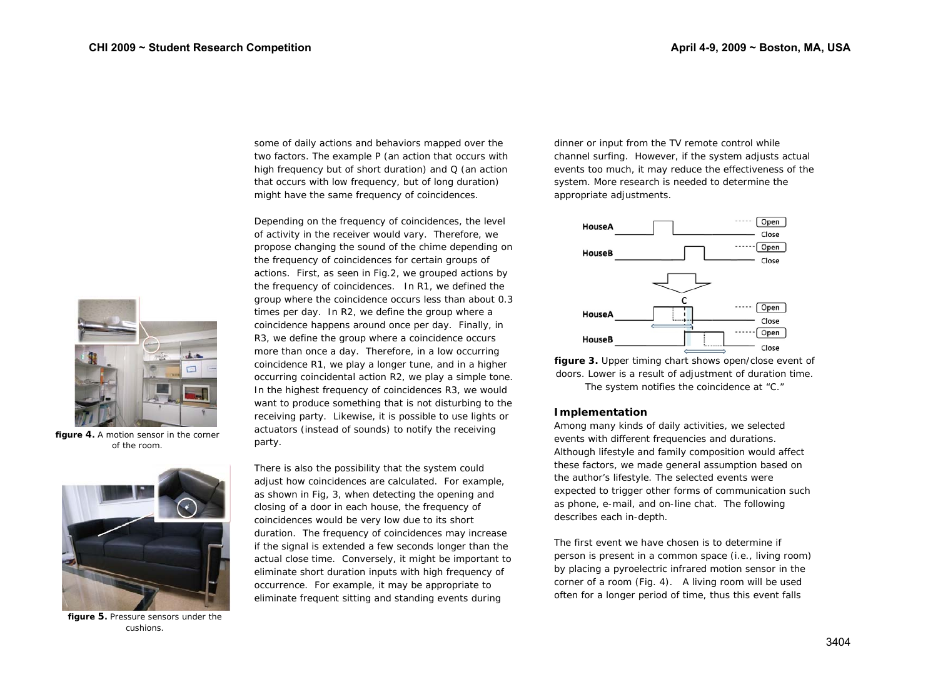

**figure 4.** A motion sensor in the corner of the room.



**figure 5.** Pressure sensors under the cushions.

some of daily actions and behaviors mapped over the two factors. The example P (an action that occurs with high frequency but of short duration) and Q (an action that occurs with low frequency, but of long duration) might have the same frequency of coincidences.

Depending on the frequency of coincidences, the level of activity in the receiver would vary. Therefore, we propose changing the sound of the chime depending on the frequency of coincidences for certain groups of actions. First, as seen in Fig.2, we grouped actions by the frequency of coincidences. In R1, we defined the group where the coincidence occurs less than about 0.3 times per day. In R2, we define the group where a coincidence happens around once per day. Finally, in R3, we define the group where a coincidence occurs more than once a day. Therefore, in a low occurring coincidence R1, we play a longer tune, and in a higher occurring coincidental action R2, we play a simple tone. In the highest frequency of coincidences R3, we would want to produce something that is not disturbing to the receiving party. Likewise, it is possible to use lights or actuators (instead of sounds) to notify the receiving party.

There is also the possibility that the system could adjust how coincidences are calculated. For example, as shown in Fig, 3, when detecting the opening and closing of a door in each house, the frequency of coincidences would be very low due to its short duration. The frequency of coincidences may increase if the signal is extended a few seconds longer than the actual close time. Conversely, it might be important to eliminate short duration inputs with high frequency of occurrence. For example, it may be appropriate to eliminate frequent sitting and standing events during

dinner or input from the TV remote control while channel surfing. However, if the system adjusts actual events too much, it may reduce the effectiveness of the system. More research is needed to determine the appropriate adjustments.



**figure 3.** Upper timing chart shows open/close event of doors. Lower is a result of adjustment of duration time. The system notifies the coincidence at "C."

## **Implementation**

Among many kinds of daily activities, we selected events with different frequencies and durations. Although lifestyle and family composition would affect these factors, we made general assumption based on the author's lifestyle. The selected events were expected to trigger other forms of communication such as phone, e-mail, and on-line chat. The following describes each in-depth.

The first event we have chosen is to determine if person is present in a common space (i.e., living room) by placing a pyroelectric infrared motion sensor in the corner of a room (Fig. 4). A living room will be used often for a longer period of time, thus this event falls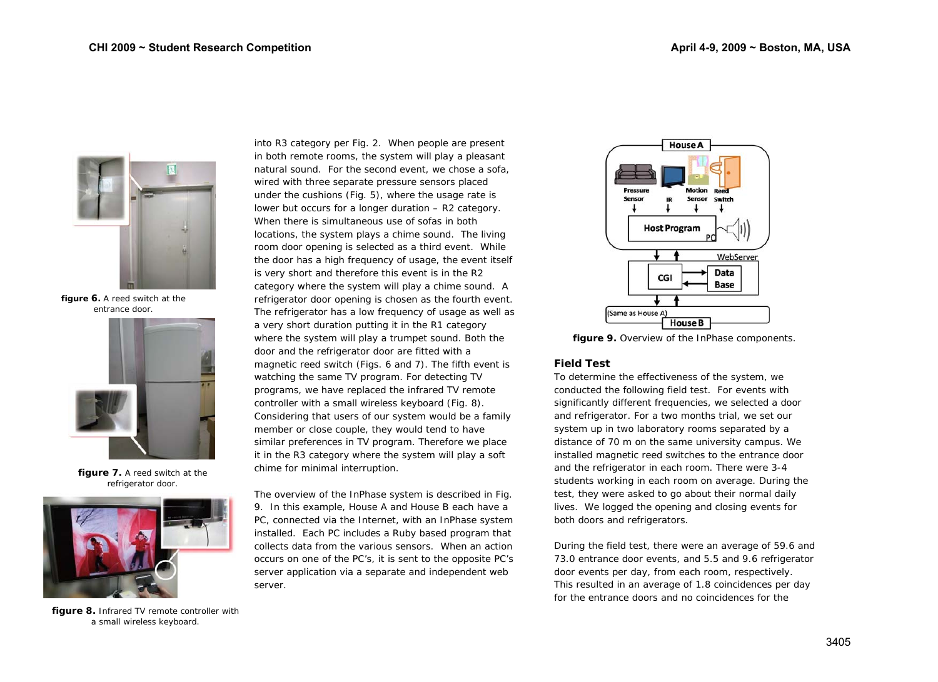

**figure 6.** A reed switch at the entrance door.



**figure 7.** A reed switch at the refrigerator door.



**figure 8.** Infrared TV remote controller with a small wireless keyboard.

into R3 category per Fig. 2. When people are present in both remote rooms, the system will play a pleasant natural sound. For the second event, we chose a sofa, wired with three separate pressure sensors placed under the cushions (Fig. 5), where the usage rate is lower but occurs for a longer duration – R2 category. When there is simultaneous use of sofas in both locations, the system plays a chime sound. The living room door opening is selected as a third event. While the door has a high frequency of usage, the event itself is very short and therefore this event is in the R2 category where the system will play a chime sound. A refrigerator door opening is chosen as the fourth event. The refrigerator has a low frequency of usage as well as a very short duration putting it in the R1 category where the system will play a trumpet sound. Both the door and the refrigerator door are fitted with a magnetic reed switch (Figs. 6 and 7). The fifth event is watching the same TV program. For detecting TV programs, we have replaced the infrared TV remote controller with a small wireless keyboard (Fig. 8). Considering that users of our system would be a family member or close couple, they would tend to have similar preferences in TV program. Therefore we place it in the R3 category where the system will play a soft chime for minimal interruption.

The overview of the InPhase system is described in Fig. 9. In this example, House A and House B each have a PC, connected via the Internet, with an InPhase system installed. Each PC includes a Ruby based program that collects data from the various sensors. When an action occurs on one of the PC's, it is sent to the opposite PC's server application via a separate and independent web server.



**figure 9.** Overview of the InPhase components.

# **Field Test**

To determine the effectiveness of the system, we conducted the following field test. For events with significantly different frequencies, we selected a door and refrigerator. For a two months trial, we set our system up in two laboratory rooms separated by a distance of 70 m on the same university campus. We installed magnetic reed switches to the entrance door and the refrigerator in each room. There were 3-4 students working in each room on average. During the test, they were asked to go about their normal daily lives. We logged the opening and closing events for both doors and refrigerators.

During the field test, there were an average of 59.6 and 73.0 entrance door events, and 5.5 and 9.6 refrigerator door events per day, from each room, respectively. This resulted in an average of 1.8 coincidences per day for the entrance doors and no coincidences for the